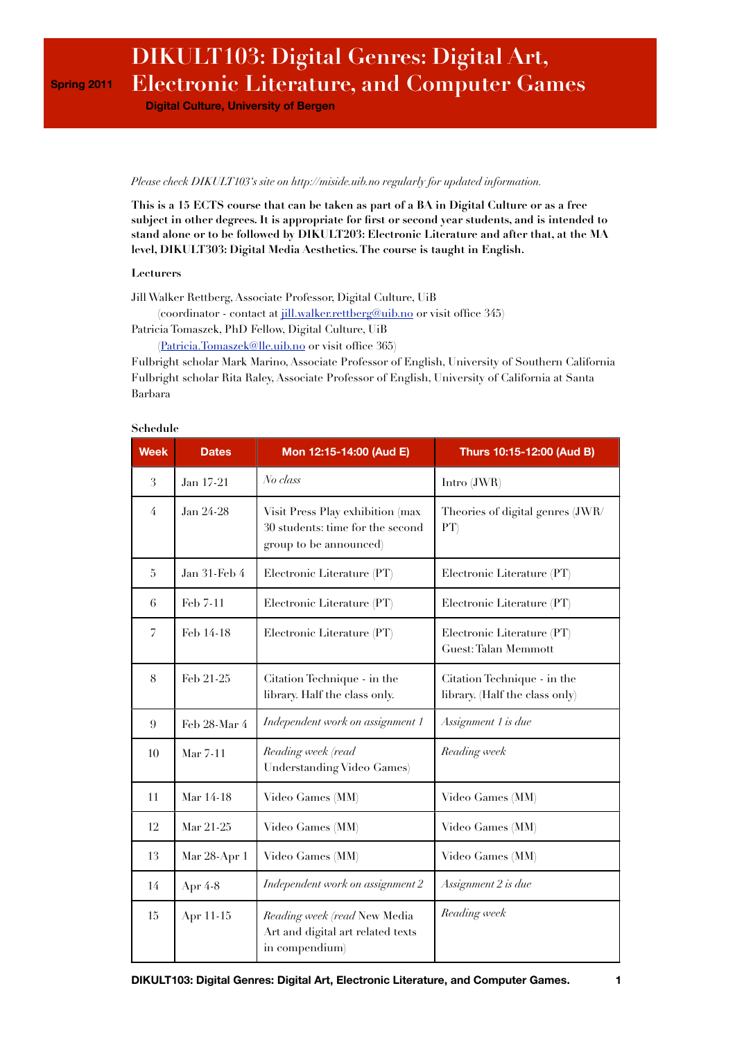# **DIKULT103: Digital Genres: Digital Art,**  ${\bf Electric\; Literature, and\; Computer\; Games}$

**Digital Culture, University of Bergen**

# *Please check DIKULT103's site on http://miside.uib.no regularly for updated information.*

**This is a 15 ECTS course that can be taken as part of a BA in Digital Culture or as a free**   $\boldsymbol{\delta}$  subject in other degrees. It is appropriate for first or second year students, and is intended to stand alone or to be followed by DIKULT203: Electronic Literature and after that, at the MA level, DIKULT303: Digital Media Aesthetics. The course is taught in English.

# $\&$ **Lecturers**

Jill Walker Rettberg, Associate Professor, Digital Culture, UiB

(coordinator - contact at jill.walker.rettberg@uib.no or visit office 345)

Patricia Tomaszek, PhD Fellow, Digital Culture, UiB

(Patricia.Tomaszek@lle.uib.no or visit office 365)

Fulbright scholar Mark Marino, Associate Professor of English, University of Southern California Fulbright scholar Rita Raley, Associate Professor of English, University of California at Santa Barbara

### **Schedule**

| <b>Week</b>    | <b>Dates</b> | Mon 12:15-14:00 (Aud E)                                                                        | Thurs 10:15-12:00 (Aud B)                                     |
|----------------|--------------|------------------------------------------------------------------------------------------------|---------------------------------------------------------------|
| 3              | Jan 17-21    | No class                                                                                       | Intro (JWR)                                                   |
| 4              | Jan 24-28    | Visit Press Play exhibition (max<br>30 students: time for the second<br>group to be announced) | Theories of digital genres (JWR/<br>PT                        |
| $\mathfrak{I}$ | Jan 31-Feb 4 | Electronic Literature (PT)                                                                     | Electronic Literature (PT)                                    |
| 6              | Feb 7-11     | Electronic Literature (PT)                                                                     | Electronic Literature (PT)                                    |
| 7              | Feb 14-18    | Electronic Literature (PT)                                                                     | Electronic Literature (PT)<br>Guest: Talan Memmott            |
| 8              | Feb 21-25    | Citation Technique - in the<br>library. Half the class only.                                   | Citation Technique - in the<br>library. (Half the class only) |
| 9              | Feb 28-Mar 4 | Independent work on assignment 1                                                               | Assignment 1 is due                                           |
| 10             | Mar 7-11     | Reading week (read<br>Understanding Video Games)                                               | Reading week                                                  |
| 11             | Mar 14-18    | Video Games (MM)                                                                               | Video Games (MM)                                              |
| 12             | Mar 21-25    | Video Games (MM)                                                                               | Video Games (MM)                                              |
| 13             | Mar 28-Apr 1 | Video Games (MM)                                                                               | Video Games (MM)                                              |
| 14             | Apr 4-8      | Independent work on assignment 2                                                               | Assignment 2 is due                                           |
| 15             | Apr 11-15    | Reading week (read New Media<br>Art and digital art related texts<br>in compendium)            | Reading week                                                  |